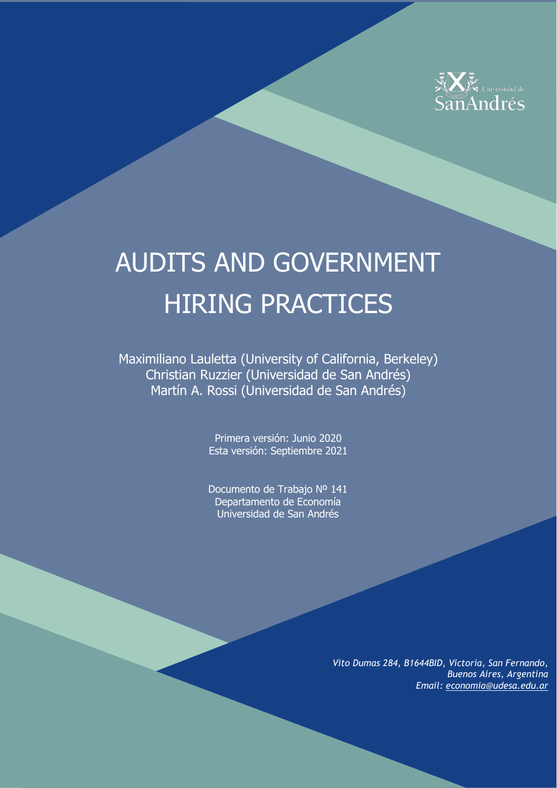

# AUDITS AND GOVERNMENT HIRING PRACTICES

Maximiliano Lauletta (University of California, Berkeley) Christian Ruzzier (Universidad de San Andrés) Martín A. Rossi (Universidad de San Andrés)

> Primera versión: Junio 2020 Esta versión: Septiembre 2021

> Documento de Trabajo Nº 141 Departamento de Economía Universidad de San Andrés

> > *Vito Dumas 284, B1644BID, Victoria, San Fernando, Buenos Aires, Argentina Email: [economia@udesa.edu.ar](mailto:economia@udesa.edu.ar)*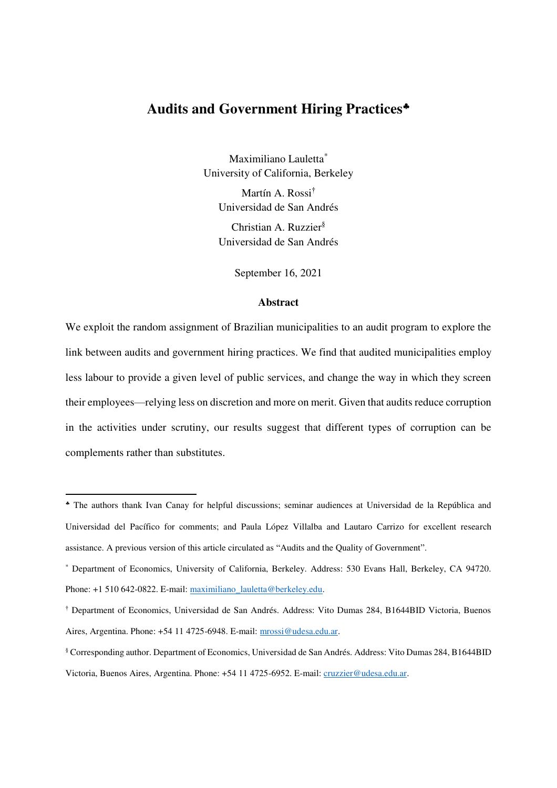# **Audits and Government Hiring Practices**

Maximiliano Lauletta\* University of California, Berkeley Martín A. Rossi† Universidad de San Andrés Christian A. Ruzzier§

Universidad de San Andrés

September 16, 2021

## **Abstract**

We exploit the random assignment of Brazilian municipalities to an audit program to explore the link between audits and government hiring practices. We find that audited municipalities employ less labour to provide a given level of public services, and change the way in which they screen their employees—relying less on discretion and more on merit. Given that audits reduce corruption in the activities under scrutiny, our results suggest that different types of corruption can be complements rather than substitutes.

<u>.</u>

The authors thank Ivan Canay for helpful discussions; seminar audiences at Universidad de la República and Universidad del Pacífico for comments; and Paula López Villalba and Lautaro Carrizo for excellent research assistance. A previous version of this article circulated as "Audits and the Quality of Government".

<sup>\*</sup> Department of Economics, University of California, Berkeley. Address: 530 Evans Hall, Berkeley, CA 94720. Phone: +1 510 642-0822. E-mail: maximiliano\_lauletta@berkeley.edu.

<sup>†</sup> Department of Economics, Universidad de San Andrés. Address: Vito Dumas 284, B1644BID Victoria, Buenos Aires, Argentina. Phone: +54 11 4725-6948. E-mail[: mrossi@udesa.edu.ar.](mailto:mrossi@udesa.edu.ar)

<sup>§</sup> Corresponding author. Department of Economics, Universidad de San Andrés. Address: Vito Dumas 284, B1644BID Victoria, Buenos Aires, Argentina. Phone: +54 11 4725-6952. E-mail: [cruzzier@udesa.edu.ar.](mailto:cruzzier@udesa.edu.ar)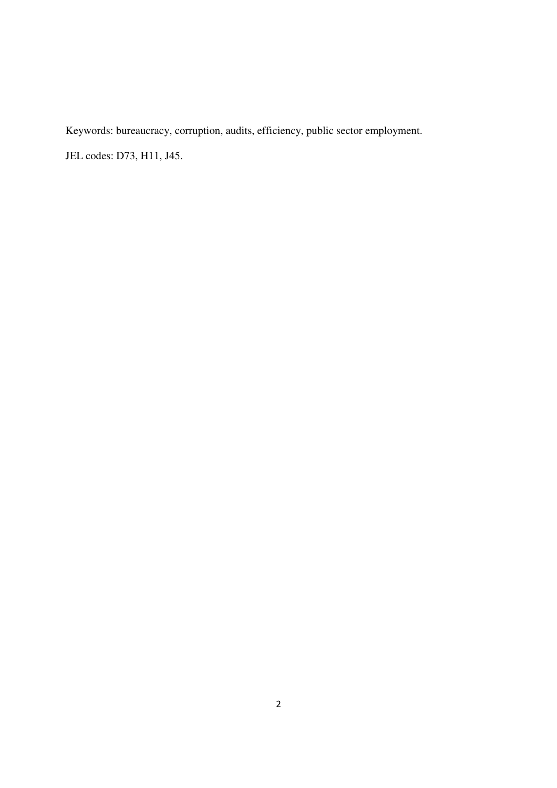Keywords: bureaucracy, corruption, audits, efficiency, public sector employment.

JEL codes: D73, H11, J45.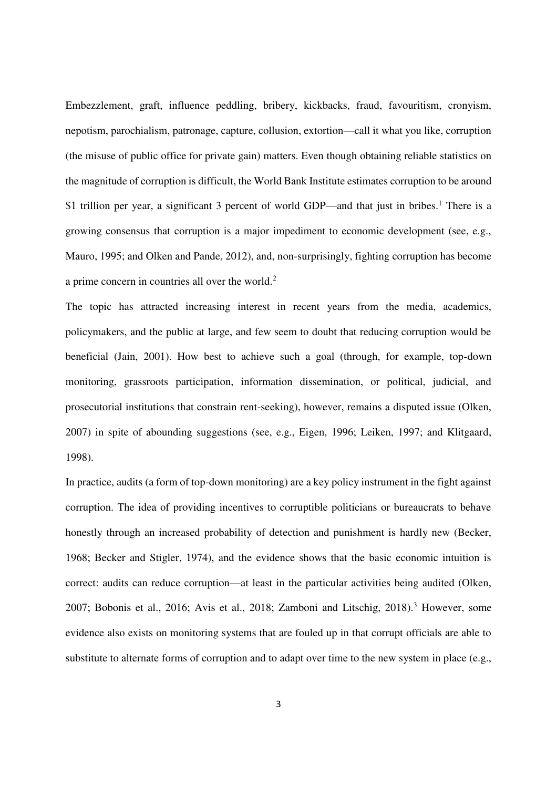Embezzlement, graft, influence peddling, bribery, kickbacks, fraud, favouritism, cronyism, nepotism, parochialism, patronage, capture, collusion, extortion—call it what you like, corruption (the misuse of public office for private gain) matters. Even though obtaining reliable statistics on the magnitude of corruption is difficult, the World Bank Institute estimates corruption to be around \$1 trillion per year, a significant 3 percent of world GDP—and that just in bribes.<sup>1</sup> There is a growing consensus that corruption is a major impediment to economic development (see, e.g., Mauro, 1995; and Olken and Pande, 2012), and, non-surprisingly, fighting corruption has become a prime concern in countries all over the world. $2$ 

The topic has attracted increasing interest in recent years from the media, academics, policymakers, and the public at large, and few seem to doubt that reducing corruption would be beneficial (Jain, 2001). How best to achieve such a goal (through, for example, top-down monitoring, grassroots participation, information dissemination, or political, judicial, and prosecutorial institutions that constrain rent-seeking), however, remains a disputed issue (Olken, 2007) in spite of abounding suggestions (see, e.g., Eigen, 1996; Leiken, 1997; and Klitgaard, 1998).

In practice, audits (a form of top-down monitoring) are a key policy instrument in the fight against corruption. The idea of providing incentives to corruptible politicians or bureaucrats to behave honestly through an increased probability of detection and punishment is hardly new (Becker, 1968; Becker and Stigler, 1974), and the evidence shows that the basic economic intuition is correct: audits can reduce corruption—at least in the particular activities being audited (Olken, 2007; Bobonis et al., 2016; Avis et al., 2018; Zamboni and Litschig, 2018).<sup>3</sup> However, some evidence also exists on monitoring systems that are fouled up in that corrupt officials are able to substitute to alternate forms of corruption and to adapt over time to the new system in place (e.g.,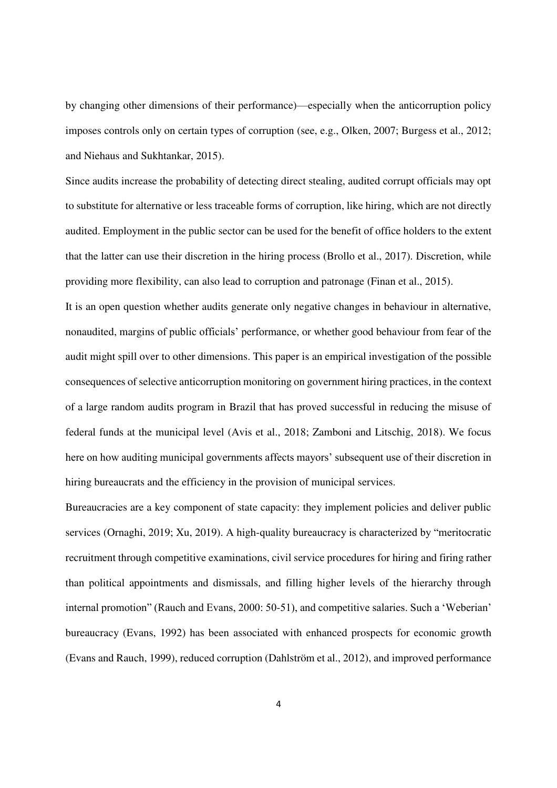by changing other dimensions of their performance)—especially when the anticorruption policy imposes controls only on certain types of corruption (see, e.g., Olken, 2007; Burgess et al., 2012; and Niehaus and Sukhtankar, 2015).

Since audits increase the probability of detecting direct stealing, audited corrupt officials may opt to substitute for alternative or less traceable forms of corruption, like hiring, which are not directly audited. Employment in the public sector can be used for the benefit of office holders to the extent that the latter can use their discretion in the hiring process (Brollo et al., 2017). Discretion, while providing more flexibility, can also lead to corruption and patronage (Finan et al., 2015).

It is an open question whether audits generate only negative changes in behaviour in alternative, nonaudited, margins of public officials' performance, or whether good behaviour from fear of the audit might spill over to other dimensions. This paper is an empirical investigation of the possible consequences of selective anticorruption monitoring on government hiring practices, in the context of a large random audits program in Brazil that has proved successful in reducing the misuse of federal funds at the municipal level (Avis et al., 2018; Zamboni and Litschig, 2018). We focus here on how auditing municipal governments affects mayors' subsequent use of their discretion in hiring bureaucrats and the efficiency in the provision of municipal services.

Bureaucracies are a key component of state capacity: they implement policies and deliver public services (Ornaghi, 2019; Xu, 2019). A high-quality bureaucracy is characterized by "meritocratic recruitment through competitive examinations, civil service procedures for hiring and firing rather than political appointments and dismissals, and filling higher levels of the hierarchy through internal promotion" (Rauch and Evans, 2000: 50-51), and competitive salaries. Such a 'Weberian' bureaucracy (Evans, 1992) has been associated with enhanced prospects for economic growth (Evans and Rauch, 1999), reduced corruption (Dahlström et al., 2012), and improved performance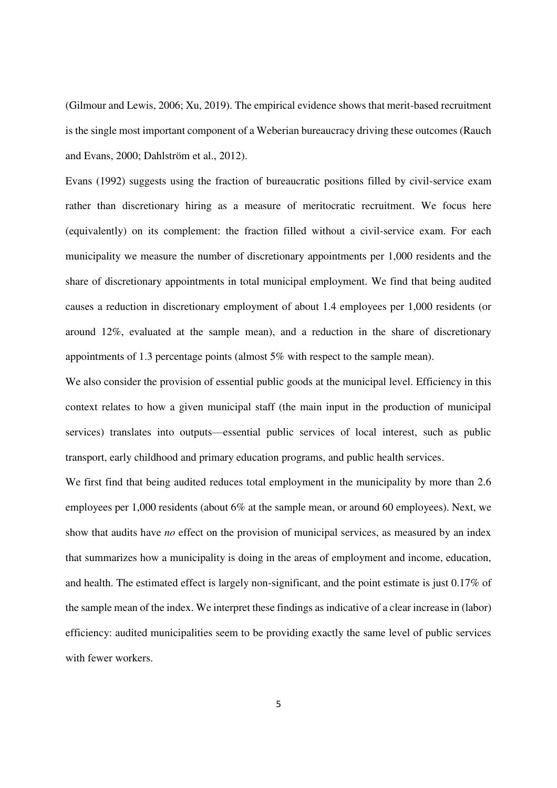(Gilmour and Lewis, 2006; Xu, 2019). The empirical evidence shows that merit-based recruitment is the single most important component of a Weberian bureaucracy driving these outcomes (Rauch and Evans, 2000; Dahlström et al., 2012).

Evans (1992) suggests using the fraction of bureaucratic positions filled by civil-service exam rather than discretionary hiring as a measure of meritocratic recruitment. We focus here (equivalently) on its complement: the fraction filled without a civil-service exam. For each municipality we measure the number of discretionary appointments per 1,000 residents and the share of discretionary appointments in total municipal employment. We find that being audited causes a reduction in discretionary employment of about 1.4 employees per 1,000 residents (or around 12%, evaluated at the sample mean), and a reduction in the share of discretionary appointments of 1.3 percentage points (almost 5% with respect to the sample mean).

We also consider the provision of essential public goods at the municipal level. Efficiency in this context relates to how a given municipal staff (the main input in the production of municipal services) translates into outputs—essential public services of local interest, such as public transport, early childhood and primary education programs, and public health services.

We first find that being audited reduces total employment in the municipality by more than 2.6 employees per 1,000 residents (about 6% at the sample mean, or around 60 employees). Next, we show that audits have *no* effect on the provision of municipal services, as measured by an index that summarizes how a municipality is doing in the areas of employment and income, education, and health. The estimated effect is largely non-significant, and the point estimate is just 0.17% of the sample mean of the index. We interpret these findings as indicative of a clear increase in (labor) efficiency: audited municipalities seem to be providing exactly the same level of public services with fewer workers.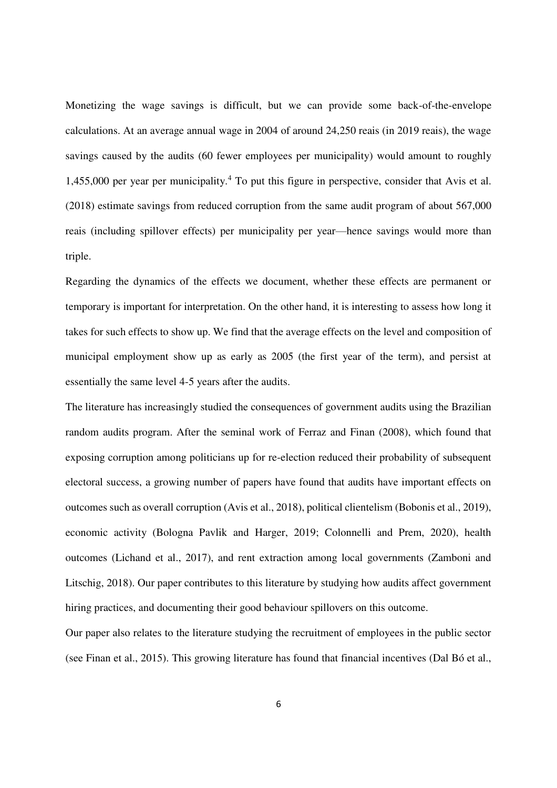Monetizing the wage savings is difficult, but we can provide some back-of-the-envelope calculations. At an average annual wage in 2004 of around 24,250 reais (in 2019 reais), the wage savings caused by the audits (60 fewer employees per municipality) would amount to roughly 1,455,000 per year per municipality.<sup>4</sup> To put this figure in perspective, consider that Avis et al. (2018) estimate savings from reduced corruption from the same audit program of about 567,000 reais (including spillover effects) per municipality per year—hence savings would more than triple.

Regarding the dynamics of the effects we document, whether these effects are permanent or temporary is important for interpretation. On the other hand, it is interesting to assess how long it takes for such effects to show up. We find that the average effects on the level and composition of municipal employment show up as early as 2005 (the first year of the term), and persist at essentially the same level 4-5 years after the audits.

The literature has increasingly studied the consequences of government audits using the Brazilian random audits program. After the seminal work of Ferraz and Finan (2008), which found that exposing corruption among politicians up for re-election reduced their probability of subsequent electoral success, a growing number of papers have found that audits have important effects on outcomes such as overall corruption (Avis et al., 2018), political clientelism (Bobonis et al., 2019), economic activity (Bologna Pavlik and Harger, 2019; Colonnelli and Prem, 2020), health outcomes (Lichand et al., 2017), and rent extraction among local governments (Zamboni and Litschig, 2018). Our paper contributes to this literature by studying how audits affect government hiring practices, and documenting their good behaviour spillovers on this outcome.

Our paper also relates to the literature studying the recruitment of employees in the public sector (see Finan et al., 2015). This growing literature has found that financial incentives (Dal Bó et al.,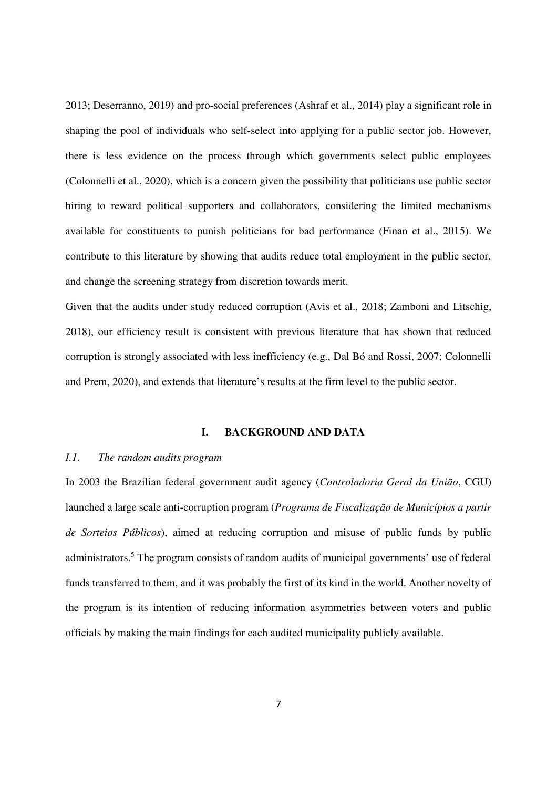2013; Deserranno, 2019) and pro-social preferences (Ashraf et al., 2014) play a significant role in shaping the pool of individuals who self-select into applying for a public sector job. However, there is less evidence on the process through which governments select public employees (Colonnelli et al., 2020), which is a concern given the possibility that politicians use public sector hiring to reward political supporters and collaborators, considering the limited mechanisms available for constituents to punish politicians for bad performance (Finan et al., 2015). We contribute to this literature by showing that audits reduce total employment in the public sector, and change the screening strategy from discretion towards merit.

Given that the audits under study reduced corruption (Avis et al., 2018; Zamboni and Litschig, 2018), our efficiency result is consistent with previous literature that has shown that reduced corruption is strongly associated with less inefficiency (e.g., Dal Bó and Rossi, 2007; Colonnelli and Prem, 2020), and extends that literature's results at the firm level to the public sector.

## **I. BACKGROUND AND DATA**

# *I.1. The random audits program*

In 2003 the Brazilian federal government audit agency (*Controladoria Geral da União*, CGU) launched a large scale anti-corruption program (*Programa de Fiscalização de Municípios a partir de Sorteios Públicos*), aimed at reducing corruption and misuse of public funds by public administrators.<sup>5</sup> The program consists of random audits of municipal governments' use of federal funds transferred to them, and it was probably the first of its kind in the world. Another novelty of the program is its intention of reducing information asymmetries between voters and public officials by making the main findings for each audited municipality publicly available.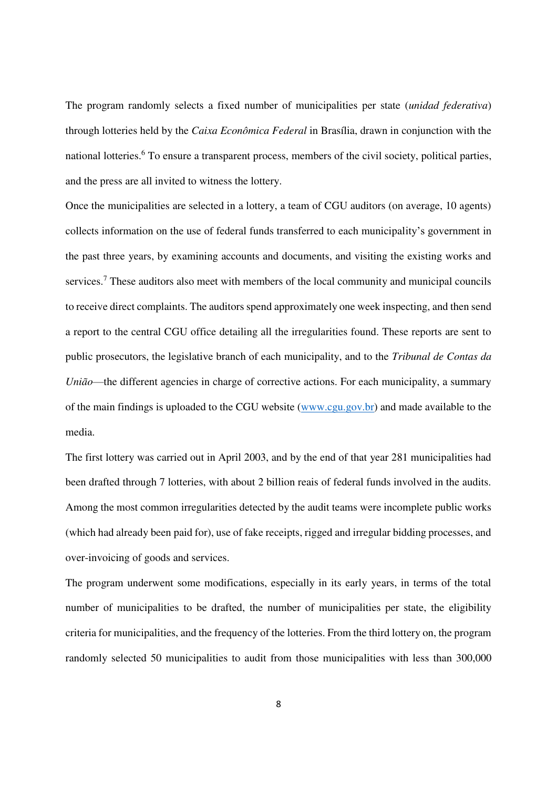The program randomly selects a fixed number of municipalities per state (*unidad federativa*) through lotteries held by the *Caixa Econômica Federal* in Brasília, drawn in conjunction with the national lotteries.<sup>6</sup> To ensure a transparent process, members of the civil society, political parties, and the press are all invited to witness the lottery.

Once the municipalities are selected in a lottery, a team of CGU auditors (on average, 10 agents) collects information on the use of federal funds transferred to each municipality's government in the past three years, by examining accounts and documents, and visiting the existing works and services.<sup>7</sup> These auditors also meet with members of the local community and municipal councils to receive direct complaints. The auditors spend approximately one week inspecting, and then send a report to the central CGU office detailing all the irregularities found. These reports are sent to public prosecutors, the legislative branch of each municipality, and to the *Tribunal de Contas da União*—the different agencies in charge of corrective actions. For each municipality, a summary of the main findings is uploaded to the CGU website [\(www.cgu.gov.br\)](http://www.cgu.gov.br/) and made available to the media.

The first lottery was carried out in April 2003, and by the end of that year 281 municipalities had been drafted through 7 lotteries, with about 2 billion reais of federal funds involved in the audits. Among the most common irregularities detected by the audit teams were incomplete public works (which had already been paid for), use of fake receipts, rigged and irregular bidding processes, and over-invoicing of goods and services.

The program underwent some modifications, especially in its early years, in terms of the total number of municipalities to be drafted, the number of municipalities per state, the eligibility criteria for municipalities, and the frequency of the lotteries. From the third lottery on, the program randomly selected 50 municipalities to audit from those municipalities with less than 300,000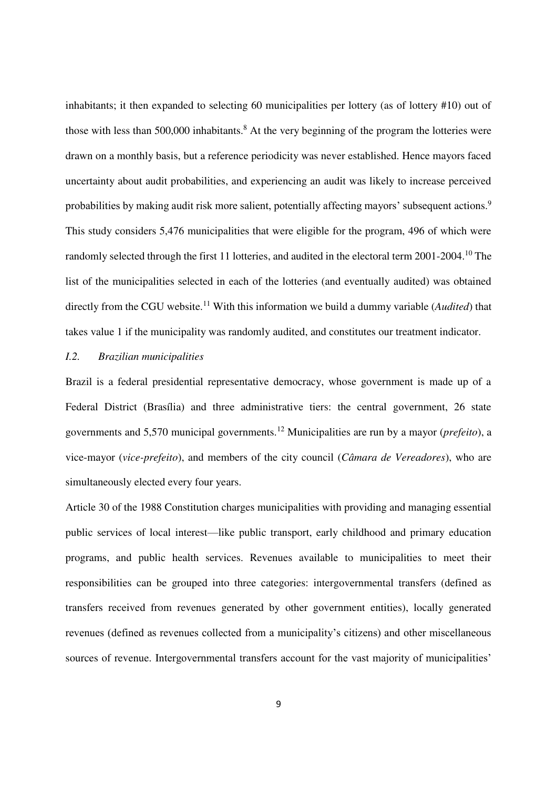inhabitants; it then expanded to selecting 60 municipalities per lottery (as of lottery #10) out of those with less than  $500,000$  inhabitants.<sup>8</sup> At the very beginning of the program the lotteries were drawn on a monthly basis, but a reference periodicity was never established. Hence mayors faced uncertainty about audit probabilities, and experiencing an audit was likely to increase perceived probabilities by making audit risk more salient, potentially affecting mayors' subsequent actions.<sup>9</sup> This study considers 5,476 municipalities that were eligible for the program, 496 of which were randomly selected through the first 11 lotteries, and audited in the electoral term 2001-2004.<sup>10</sup> The list of the municipalities selected in each of the lotteries (and eventually audited) was obtained directly from the CGU website.<sup>11</sup> With this information we build a dummy variable (*Audited*) that takes value 1 if the municipality was randomly audited, and constitutes our treatment indicator.

# *I.2. Brazilian municipalities*

Brazil is a federal presidential representative democracy, whose government is made up of a Federal District (Brasília) and three administrative tiers: the central government, 26 state governments and 5,570 municipal governments.<sup>12</sup> Municipalities are run by a mayor (*prefeito*), a vice-mayor (*vice-prefeito*), and members of the city council (*Câmara de Vereadores*), who are simultaneously elected every four years.

Article 30 of the 1988 Constitution charges municipalities with providing and managing essential public services of local interest—like public transport, early childhood and primary education programs, and public health services. Revenues available to municipalities to meet their responsibilities can be grouped into three categories: intergovernmental transfers (defined as transfers received from revenues generated by other government entities), locally generated revenues (defined as revenues collected from a municipality's citizens) and other miscellaneous sources of revenue. Intergovernmental transfers account for the vast majority of municipalities'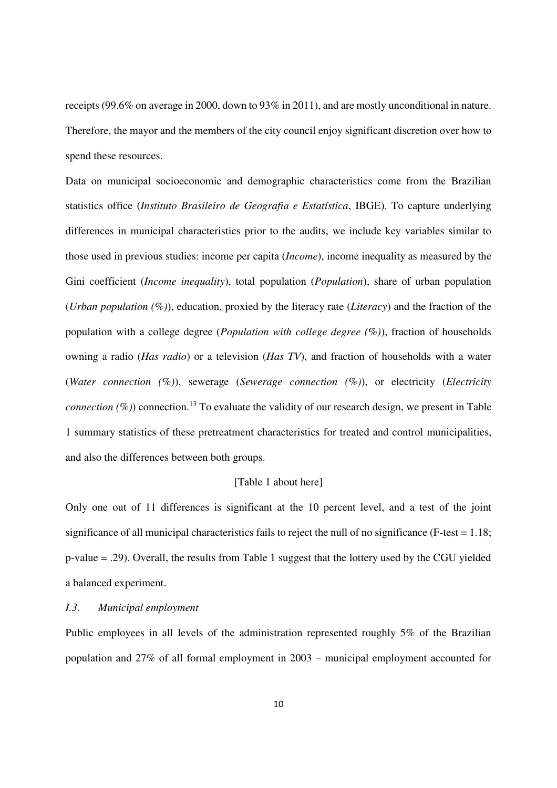receipts (99.6% on average in 2000, down to 93% in 2011), and are mostly unconditional in nature. Therefore, the mayor and the members of the city council enjoy significant discretion over how to spend these resources.

Data on municipal socioeconomic and demographic characteristics come from the Brazilian statistics office (*Instituto Brasileiro de Geografia e Estatística*, IBGE). To capture underlying differences in municipal characteristics prior to the audits, we include key variables similar to those used in previous studies: income per capita (*Income*), income inequality as measured by the Gini coefficient (*Income inequality*), total population (*Population*), share of urban population (*Urban population (%)*), education, proxied by the literacy rate (*Literacy*) and the fraction of the population with a college degree (*Population with college degree (%)*), fraction of households owning a radio (*Has radio*) or a television (*Has TV*), and fraction of households with a water (*Water connection (%)*), sewerage (*Sewerage connection (%)*), or electricity (*Electricity connection*  $(\%)$  connection.<sup>13</sup> To evaluate the validity of our research design, we present in Table 1 summary statistics of these pretreatment characteristics for treated and control municipalities, and also the differences between both groups.

#### [Table 1 about here]

Only one out of 11 differences is significant at the 10 percent level, and a test of the joint significance of all municipal characteristics fails to reject the null of no significance (F-test = 1.18; p-value = .29). Overall, the results from Table 1 suggest that the lottery used by the CGU yielded a balanced experiment.

#### *I.3. Municipal employment*

Public employees in all levels of the administration represented roughly 5% of the Brazilian population and 27% of all formal employment in 2003 – municipal employment accounted for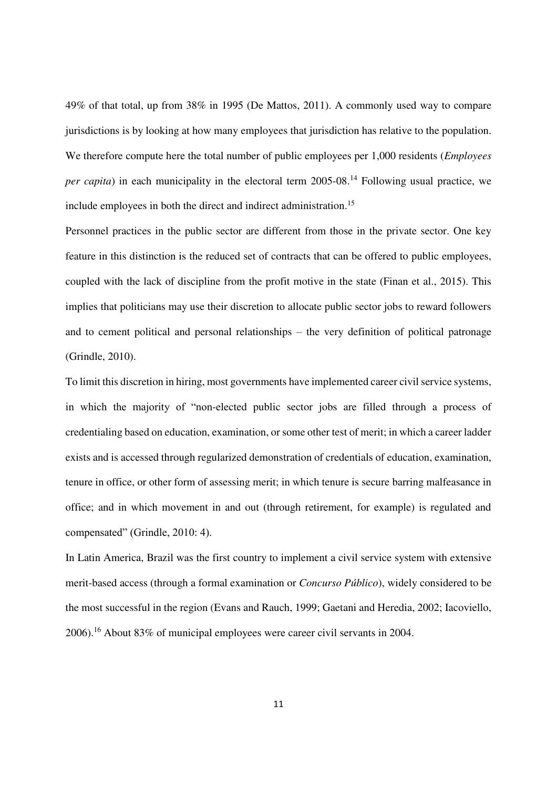49% of that total, up from 38% in 1995 (De Mattos, 2011). A commonly used way to compare jurisdictions is by looking at how many employees that jurisdiction has relative to the population. We therefore compute here the total number of public employees per 1,000 residents (*Employees per capita*) in each municipality in the electoral term 2005-08.<sup>14</sup> Following usual practice, we include employees in both the direct and indirect administration.<sup>15</sup>

Personnel practices in the public sector are different from those in the private sector. One key feature in this distinction is the reduced set of contracts that can be offered to public employees, coupled with the lack of discipline from the profit motive in the state (Finan et al., 2015). This implies that politicians may use their discretion to allocate public sector jobs to reward followers and to cement political and personal relationships – the very definition of political patronage (Grindle, 2010).

To limit this discretion in hiring, most governments have implemented career civil service systems, in which the majority of "non-elected public sector jobs are filled through a process of credentialing based on education, examination, or some other test of merit; in which a career ladder exists and is accessed through regularized demonstration of credentials of education, examination, tenure in office, or other form of assessing merit; in which tenure is secure barring malfeasance in office; and in which movement in and out (through retirement, for example) is regulated and compensated" (Grindle, 2010: 4).

In Latin America, Brazil was the first country to implement a civil service system with extensive merit-based access (through a formal examination or *Concurso Público*), widely considered to be the most successful in the region (Evans and Rauch, 1999; Gaetani and Heredia, 2002; Iacoviello, 2006).<sup>16</sup> About 83% of municipal employees were career civil servants in 2004.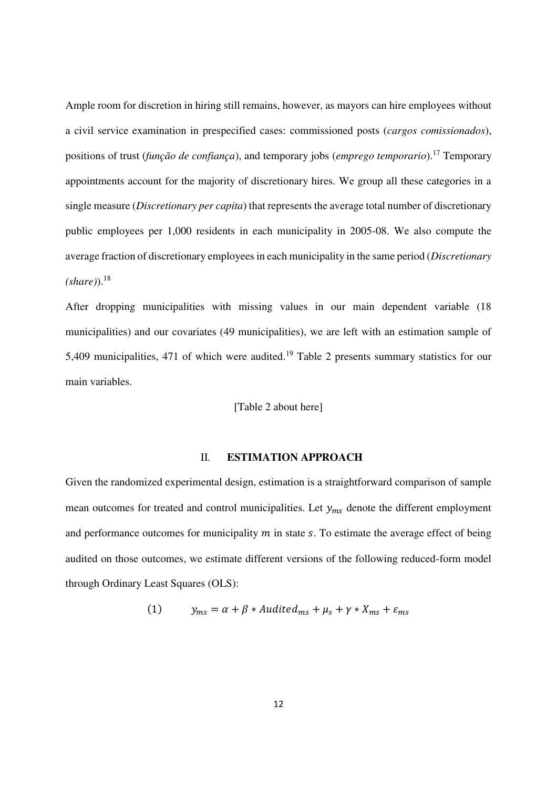Ample room for discretion in hiring still remains, however, as mayors can hire employees without a civil service examination in prespecified cases: commissioned posts (*cargos comissionados*), positions of trust (*função de confiança*), and temporary jobs (*emprego temporario*).<sup>17</sup> Temporary appointments account for the majority of discretionary hires. We group all these categories in a single measure (*Discretionary per capita*) that represents the average total number of discretionary public employees per 1,000 residents in each municipality in 2005-08. We also compute the average fraction of discretionary employees in each municipality in the same period (*Discretionary*   $(share)$ <sup>18</sup>

After dropping municipalities with missing values in our main dependent variable (18 municipalities) and our covariates (49 municipalities), we are left with an estimation sample of 5,409 municipalities, 471 of which were audited.<sup>19</sup> Table 2 presents summary statistics for our main variables.

[Table 2 about here]

#### II. **ESTIMATION APPROACH**

Given the randomized experimental design, estimation is a straightforward comparison of sample mean outcomes for treated and control municipalities. Let  $y_{ms}$  denote the different employment and performance outcomes for municipality  $m$  in state  $s$ . To estimate the average effect of being audited on those outcomes, we estimate different versions of the following reduced-form model through Ordinary Least Squares (OLS):

(1) 
$$
y_{ms} = \alpha + \beta * \text{fluidited}_{ms} + \mu_s + \gamma * X_{ms} + \varepsilon_{ms}
$$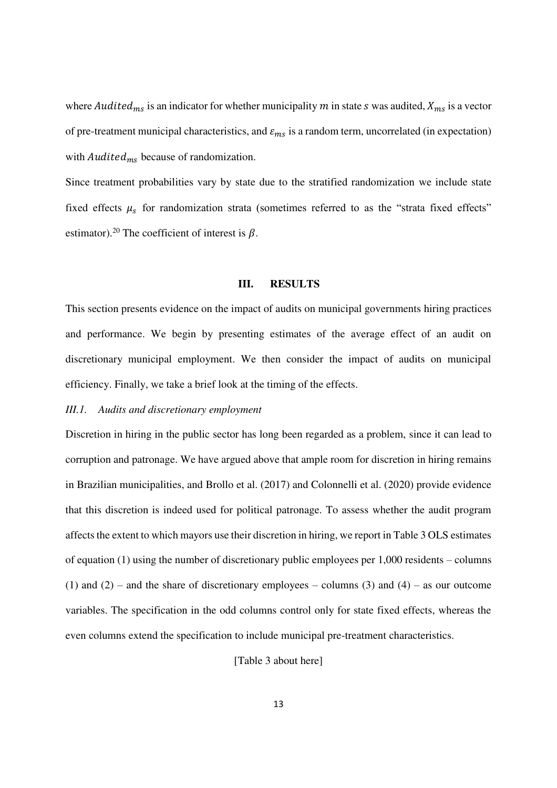where *Audited<sub>ms</sub>* is an indicator for whether municipality *m* in state *s* was audited,  $X_{ms}$  is a vector of pre-treatment municipal characteristics, and  $\varepsilon_{ms}$  is a random term, uncorrelated (in expectation) with  $\mathit{Audited}_{ms}$  because of randomization.

Since treatment probabilities vary by state due to the stratified randomization we include state fixed effects  $\mu_s$  for randomization strata (sometimes referred to as the "strata fixed effects" estimator).<sup>20</sup> The coefficient of interest is  $\beta$ .

#### **III. RESULTS**

This section presents evidence on the impact of audits on municipal governments hiring practices and performance. We begin by presenting estimates of the average effect of an audit on discretionary municipal employment. We then consider the impact of audits on municipal efficiency. Finally, we take a brief look at the timing of the effects.

#### *III.1. Audits and discretionary employment*

Discretion in hiring in the public sector has long been regarded as a problem, since it can lead to corruption and patronage. We have argued above that ample room for discretion in hiring remains in Brazilian municipalities, and Brollo et al. (2017) and Colonnelli et al. (2020) provide evidence that this discretion is indeed used for political patronage. To assess whether the audit program affects the extent to which mayors use their discretion in hiring, we report in Table 3 OLS estimates of equation (1) using the number of discretionary public employees per 1,000 residents – columns (1) and (2) – and the share of discretionary employees – columns (3) and (4) – as our outcome variables. The specification in the odd columns control only for state fixed effects, whereas the even columns extend the specification to include municipal pre-treatment characteristics.

[Table 3 about here]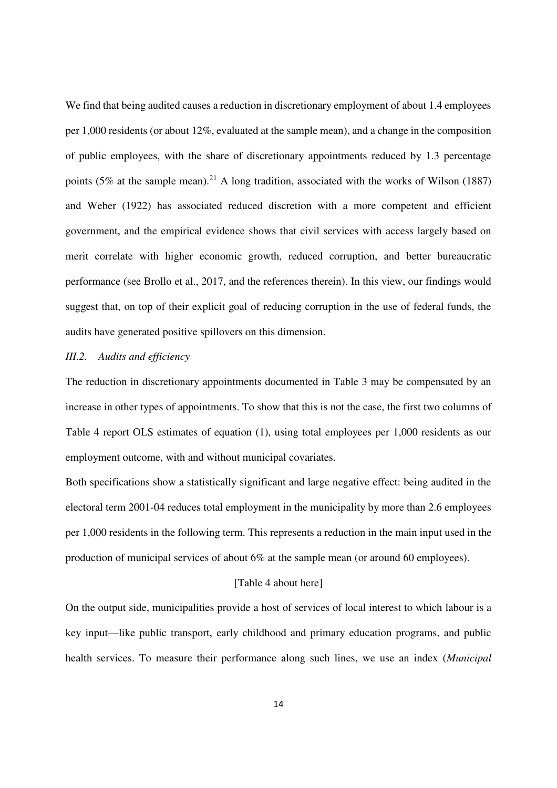We find that being audited causes a reduction in discretionary employment of about 1.4 employees per 1,000 residents (or about 12%, evaluated at the sample mean), and a change in the composition of public employees, with the share of discretionary appointments reduced by 1.3 percentage points (5% at the sample mean).<sup>21</sup> A long tradition, associated with the works of Wilson (1887) and Weber (1922) has associated reduced discretion with a more competent and efficient government, and the empirical evidence shows that civil services with access largely based on merit correlate with higher economic growth, reduced corruption, and better bureaucratic performance (see Brollo et al., 2017, and the references therein). In this view, our findings would suggest that, on top of their explicit goal of reducing corruption in the use of federal funds, the audits have generated positive spillovers on this dimension.

# *III.2. Audits and efficiency*

The reduction in discretionary appointments documented in Table 3 may be compensated by an increase in other types of appointments. To show that this is not the case, the first two columns of Table 4 report OLS estimates of equation (1), using total employees per 1,000 residents as our employment outcome, with and without municipal covariates.

Both specifications show a statistically significant and large negative effect: being audited in the electoral term 2001-04 reduces total employment in the municipality by more than 2.6 employees per 1,000 residents in the following term. This represents a reduction in the main input used in the production of municipal services of about 6% at the sample mean (or around 60 employees).

# [Table 4 about here]

On the output side, municipalities provide a host of services of local interest to which labour is a key input—like public transport, early childhood and primary education programs, and public health services. To measure their performance along such lines, we use an index (*Municipal*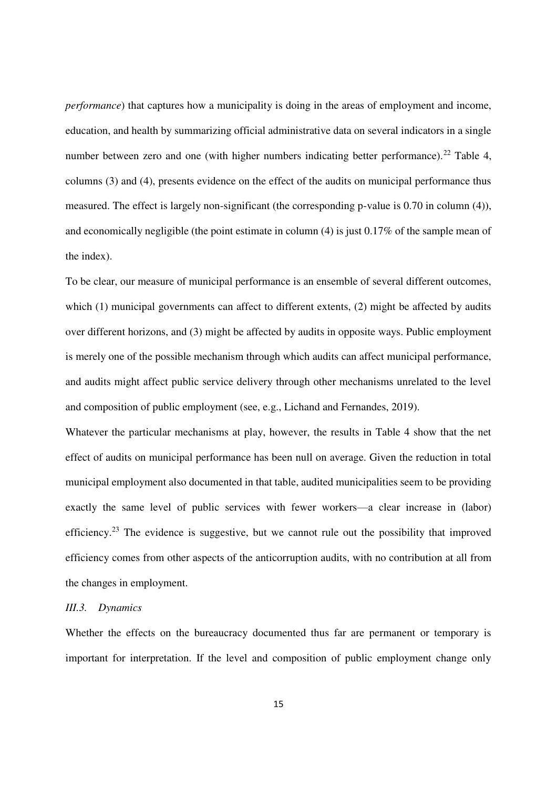*performance*) that captures how a municipality is doing in the areas of employment and income, education, and health by summarizing official administrative data on several indicators in a single number between zero and one (with higher numbers indicating better performance).<sup>22</sup> Table 4. columns (3) and (4), presents evidence on the effect of the audits on municipal performance thus measured. The effect is largely non-significant (the corresponding p-value is 0.70 in column (4)), and economically negligible (the point estimate in column (4) is just 0.17% of the sample mean of the index).

To be clear, our measure of municipal performance is an ensemble of several different outcomes, which (1) municipal governments can affect to different extents, (2) might be affected by audits over different horizons, and (3) might be affected by audits in opposite ways. Public employment is merely one of the possible mechanism through which audits can affect municipal performance, and audits might affect public service delivery through other mechanisms unrelated to the level and composition of public employment (see, e.g., Lichand and Fernandes, 2019).

Whatever the particular mechanisms at play, however, the results in Table 4 show that the net effect of audits on municipal performance has been null on average. Given the reduction in total municipal employment also documented in that table, audited municipalities seem to be providing exactly the same level of public services with fewer workers—a clear increase in (labor) efficiency.<sup>23</sup> The evidence is suggestive, but we cannot rule out the possibility that improved efficiency comes from other aspects of the anticorruption audits, with no contribution at all from the changes in employment.

#### *III.3. Dynamics*

Whether the effects on the bureaucracy documented thus far are permanent or temporary is important for interpretation. If the level and composition of public employment change only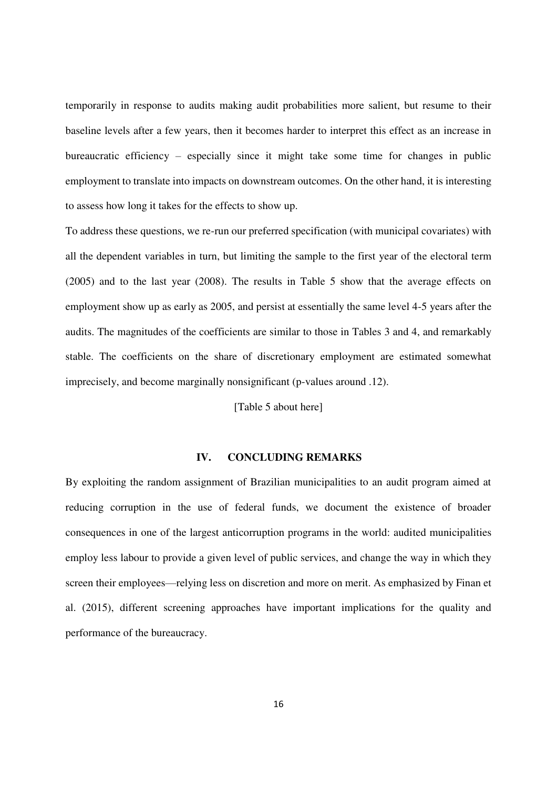temporarily in response to audits making audit probabilities more salient, but resume to their baseline levels after a few years, then it becomes harder to interpret this effect as an increase in bureaucratic efficiency – especially since it might take some time for changes in public employment to translate into impacts on downstream outcomes. On the other hand, it is interesting to assess how long it takes for the effects to show up.

To address these questions, we re-run our preferred specification (with municipal covariates) with all the dependent variables in turn, but limiting the sample to the first year of the electoral term (2005) and to the last year (2008). The results in Table 5 show that the average effects on employment show up as early as 2005, and persist at essentially the same level 4-5 years after the audits. The magnitudes of the coefficients are similar to those in Tables 3 and 4, and remarkably stable. The coefficients on the share of discretionary employment are estimated somewhat imprecisely, and become marginally nonsignificant (p-values around .12).

# [Table 5 about here]

# **IV. CONCLUDING REMARKS**

By exploiting the random assignment of Brazilian municipalities to an audit program aimed at reducing corruption in the use of federal funds, we document the existence of broader consequences in one of the largest anticorruption programs in the world: audited municipalities employ less labour to provide a given level of public services, and change the way in which they screen their employees—relying less on discretion and more on merit. As emphasized by Finan et al. (2015), different screening approaches have important implications for the quality and performance of the bureaucracy.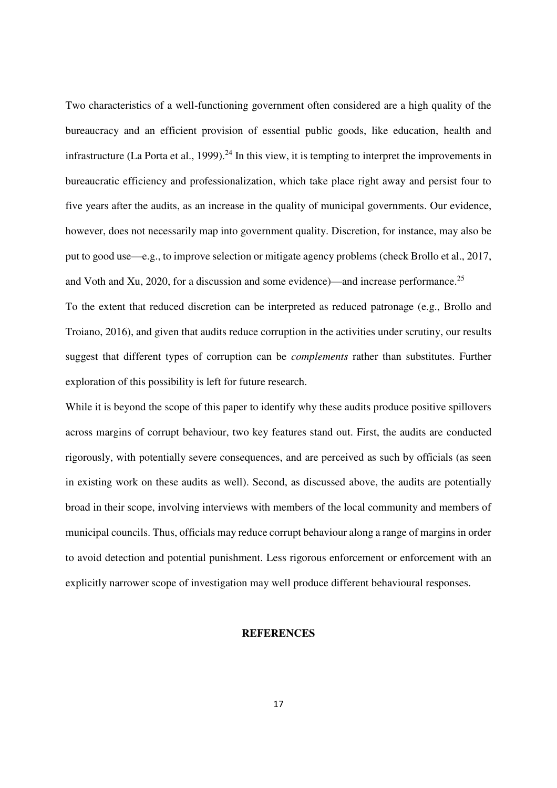Two characteristics of a well-functioning government often considered are a high quality of the bureaucracy and an efficient provision of essential public goods, like education, health and infrastructure (La Porta et al., 1999).<sup>24</sup> In this view, it is tempting to interpret the improvements in bureaucratic efficiency and professionalization, which take place right away and persist four to five years after the audits, as an increase in the quality of municipal governments. Our evidence, however, does not necessarily map into government quality. Discretion, for instance, may also be put to good use—e.g., to improve selection or mitigate agency problems (check Brollo et al., 2017, and Voth and Xu, 2020, for a discussion and some evidence)—and increase performance.<sup>25</sup>

To the extent that reduced discretion can be interpreted as reduced patronage (e.g., Brollo and Troiano, 2016), and given that audits reduce corruption in the activities under scrutiny, our results suggest that different types of corruption can be *complements* rather than substitutes. Further exploration of this possibility is left for future research.

While it is beyond the scope of this paper to identify why these audits produce positive spillovers across margins of corrupt behaviour, two key features stand out. First, the audits are conducted rigorously, with potentially severe consequences, and are perceived as such by officials (as seen in existing work on these audits as well). Second, as discussed above, the audits are potentially broad in their scope, involving interviews with members of the local community and members of municipal councils. Thus, officials may reduce corrupt behaviour along a range of margins in order to avoid detection and potential punishment. Less rigorous enforcement or enforcement with an explicitly narrower scope of investigation may well produce different behavioural responses.

### **REFERENCES**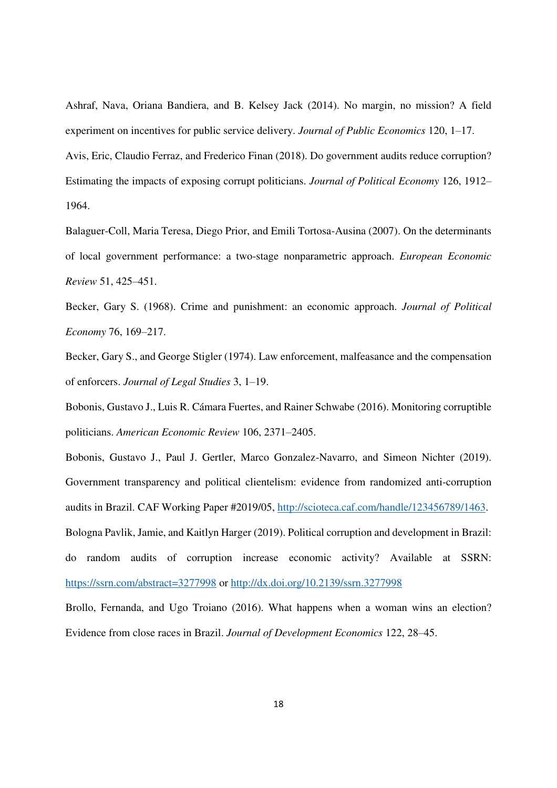Ashraf, Nava, Oriana Bandiera, and B. Kelsey Jack (2014). No margin, no mission? A field experiment on incentives for public service delivery. *Journal of Public Economics* 120, 1–17. Avis, Eric, Claudio Ferraz, and Frederico Finan (2018). Do government audits reduce corruption? Estimating the impacts of exposing corrupt politicians. *Journal of Political Economy* 126, 1912–

1964.

Balaguer-Coll, Maria Teresa, Diego Prior, and Emili Tortosa-Ausina (2007). On the determinants of local government performance: a two-stage nonparametric approach. *European Economic Review* 51, 425–451.

Becker, Gary S. (1968). Crime and punishment: an economic approach. *Journal of Political Economy* 76, 169–217.

Becker, Gary S., and George Stigler (1974). Law enforcement, malfeasance and the compensation of enforcers. *Journal of Legal Studies* 3, 1–19.

Bobonis, Gustavo J., Luis R. Cámara Fuertes, and Rainer Schwabe (2016). Monitoring corruptible politicians. *American Economic Review* 106, 2371–2405.

Bobonis, Gustavo J., Paul J. Gertler, Marco Gonzalez-Navarro, and Simeon Nichter (2019). Government transparency and political clientelism: evidence from randomized anti-corruption audits in Brazil. CAF Working Paper #2019/05, [http://scioteca.caf.com/handle/123456789/1463.](http://scioteca.caf.com/handle/123456789/1463) Bologna Pavlik, Jamie, and Kaitlyn Harger (2019). Political corruption and development in Brazil: do random audits of corruption increase economic activity? Available at SSRN: <https://ssrn.com/abstract=3277998>or<http://dx.doi.org/10.2139/ssrn.3277998>

Brollo, Fernanda, and Ugo Troiano (2016). What happens when a woman wins an election? Evidence from close races in Brazil. *Journal of Development Economics* 122, 28–45.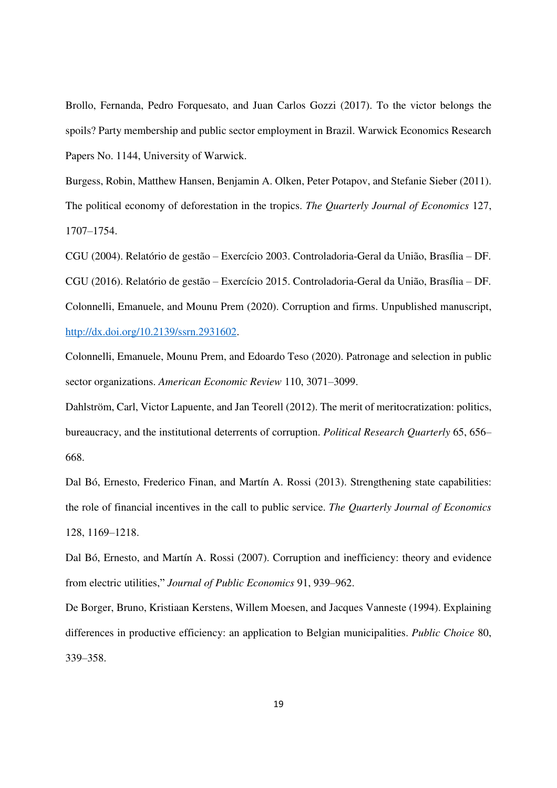Brollo, Fernanda, Pedro Forquesato, and Juan Carlos Gozzi (2017). To the victor belongs the spoils? Party membership and public sector employment in Brazil. Warwick Economics Research Papers No. 1144, University of Warwick.

Burgess, Robin, Matthew Hansen, Benjamin A. Olken, Peter Potapov, and Stefanie Sieber (2011). The political economy of deforestation in the tropics. *The Quarterly Journal of Economics* 127, 1707–1754.

CGU (2004). Relatório de gestão – Exercício 2003. Controladoria-Geral da União, Brasília – DF. CGU (2016). Relatório de gestão – Exercício 2015. Controladoria-Geral da União, Brasília – DF. Colonnelli, Emanuele, and Mounu Prem (2020). Corruption and firms. Unpublished manuscript, [http://dx.doi.org/10.2139/ssrn.2931602.](http://dx.doi.org/10.2139/ssrn.2931602)

Colonnelli, Emanuele, Mounu Prem, and Edoardo Teso (2020). Patronage and selection in public sector organizations. *American Economic Review* 110, 3071–3099.

Dahlström, Carl, Victor Lapuente, and Jan Teorell (2012). The merit of meritocratization: politics, bureaucracy, and the institutional deterrents of corruption. *Political Research Quarterly* 65, 656– 668.

Dal Bó, Ernesto, Frederico Finan, and Martín A. Rossi (2013). Strengthening state capabilities: the role of financial incentives in the call to public service. *The Quarterly Journal of Economics* 128, 1169–1218.

Dal Bó, Ernesto, and Martín A. Rossi (2007). Corruption and inefficiency: theory and evidence from electric utilities," *Journal of Public Economics* 91, 939–962.

De Borger, Bruno, Kristiaan Kerstens, Willem Moesen, and Jacques Vanneste (1994). Explaining differences in productive efficiency: an application to Belgian municipalities. *Public Choice* 80, 339–358.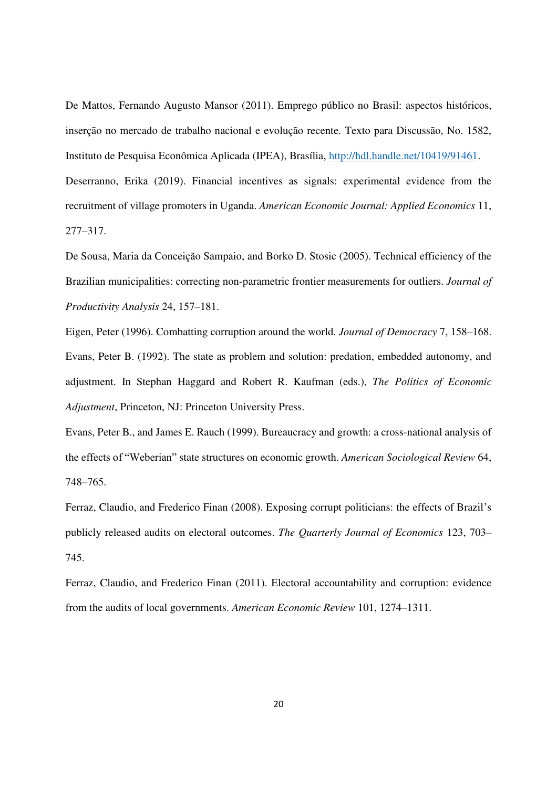De Mattos, Fernando Augusto Mansor (2011). Emprego público no Brasil: aspectos históricos, inserção no mercado de trabalho nacional e evolução recente. Texto para Discussão, No. 1582, Instituto de Pesquisa Econômica Aplicada (IPEA), Brasília, [http://hdl.handle.net/10419/91461.](http://hdl.handle.net/10419/91461) Deserranno, Erika (2019). Financial incentives as signals: experimental evidence from the recruitment of village promoters in Uganda. *American Economic Journal: Applied Economics* 11, 277–317.

De Sousa, Maria da Conceição Sampaio, and Borko D. Stosic (2005). Technical efficiency of the Brazilian municipalities: correcting non-parametric frontier measurements for outliers. *Journal of Productivity Analysis* 24, 157–181.

Eigen, Peter (1996). Combatting corruption around the world. *Journal of Democracy* 7, 158–168. Evans, Peter B. (1992). The state as problem and solution: predation, embedded autonomy, and adjustment. In Stephan Haggard and Robert R. Kaufman (eds.), *The Politics of Economic Adjustment*, Princeton, NJ: Princeton University Press.

Evans, Peter B., and James E. Rauch (1999). Bureaucracy and growth: a cross-national analysis of the effects of "Weberian" state structures on economic growth. *American Sociological Review* 64, 748–765.

Ferraz, Claudio, and Frederico Finan (2008). Exposing corrupt politicians: the effects of Brazil's publicly released audits on electoral outcomes. *The Quarterly Journal of Economics* 123, 703– 745.

Ferraz, Claudio, and Frederico Finan (2011). Electoral accountability and corruption: evidence from the audits of local governments. *American Economic Review* 101, 1274–1311.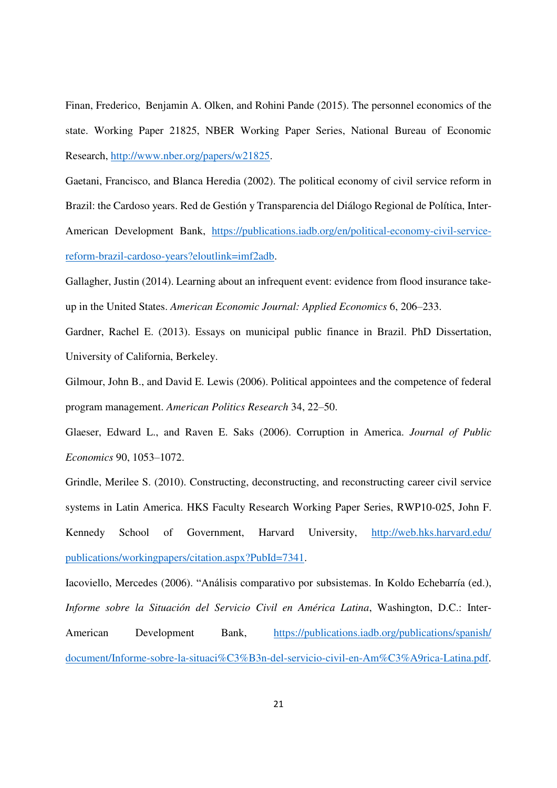Finan, Frederico, Benjamin A. Olken, and Rohini Pande (2015). The personnel economics of the state. Working Paper 21825, NBER Working Paper Series, National Bureau of Economic Research, [http://www.nber.org/papers/w21825.](http://www.nber.org/papers/w21825)

Gaetani, Francisco, and Blanca Heredia (2002). The political economy of civil service reform in Brazil: the Cardoso years. Red de Gestión y Transparencia del Diálogo Regional de Política, Inter-American Development Bank, [https://publications.iadb.org/en/political-economy-civil-service](https://publications.iadb.org/en/political-economy-civil-service-reform-brazil-cardoso-years?eloutlink=imf2adb)[reform-brazil-cardoso-years?eloutlink=imf2adb.](https://publications.iadb.org/en/political-economy-civil-service-reform-brazil-cardoso-years?eloutlink=imf2adb)

Gallagher, Justin (2014). Learning about an infrequent event: evidence from flood insurance takeup in the United States. *American Economic Journal: Applied Economics* 6, 206–233.

Gardner, Rachel E. (2013). Essays on municipal public finance in Brazil. PhD Dissertation, University of California, Berkeley.

Gilmour, John B., and David E. Lewis (2006). Political appointees and the competence of federal program management. *American Politics Research* 34, 22–50.

Glaeser, Edward L., and Raven E. Saks (2006). Corruption in America. *Journal of Public Economics* 90, 1053–1072.

Grindle, Merilee S. (2010). Constructing, deconstructing, and reconstructing career civil service systems in Latin America. HKS Faculty Research Working Paper Series, RWP10-025, John F. Kennedy School of Government, Harvard University, [http://web.hks.harvard.edu/](http://web.hks.harvard.edu/%20publications/workingpapers/citation.aspx?PubId=7341)  [publications/workingpapers/citation.aspx?PubId=7341.](http://web.hks.harvard.edu/%20publications/workingpapers/citation.aspx?PubId=7341)

Iacoviello, Mercedes (2006). "Análisis comparativo por subsistemas. In Koldo Echebarría (ed.), *Informe sobre la Situación del Servicio Civil en América Latina*, Washington, D.C.: Inter-American Development Bank, [https://publications.iadb.org/publications/spanish/](https://publications.iadb.org/publications/spanish/%20document/Informe-sobre-la-situaci%C3%B3n-del-servicio-civil-en-Am%C3%A9rica-Latina.pdf)  [document/Informe-sobre-la-situaci%C3%B3n-del-servicio-civil-en-Am%C3%A9rica-Latina.pdf.](https://publications.iadb.org/publications/spanish/%20document/Informe-sobre-la-situaci%C3%B3n-del-servicio-civil-en-Am%C3%A9rica-Latina.pdf)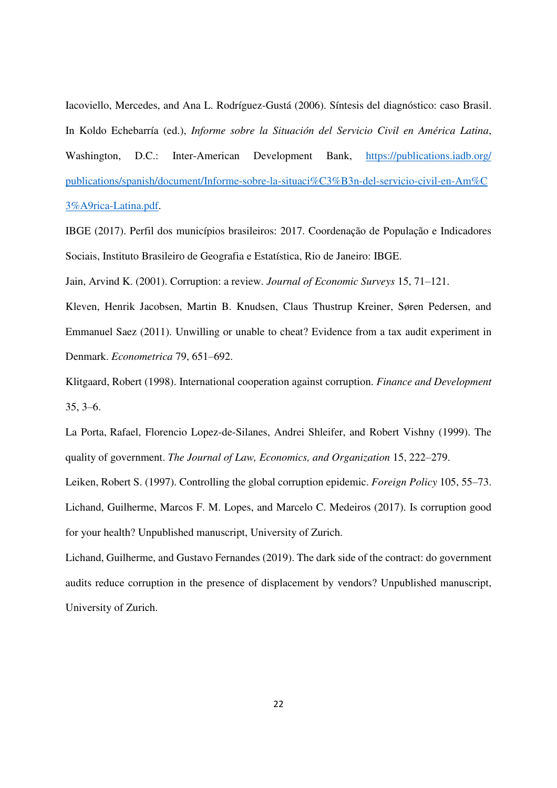Iacoviello, Mercedes, and Ana L. Rodríguez-Gustá (2006). Síntesis del diagnóstico: caso Brasil. In Koldo Echebarría (ed.), *Informe sobre la Situación del Servicio Civil en América Latina*, Washington, D.C.: Inter-American Development Bank, https://publications.iadb.org/ [publications/spanish/document/Informe-sobre-la-situaci%C3%B3n-del-servicio-civil-en-Am%C](https://publications.iadb.org/%20publications/spanish/document/Informe-sobre-la-situaci%C3%B3n-del-servicio-civil-en-Am%25C%203%A9rica-Latina.pdf)  [3%A9rica-Latina.pdf.](https://publications.iadb.org/%20publications/spanish/document/Informe-sobre-la-situaci%C3%B3n-del-servicio-civil-en-Am%25C%203%A9rica-Latina.pdf)

IBGE (2017). Perfil dos municípios brasileiros: 2017. Coordenação de População e Indicadores Sociais, Instituto Brasileiro de Geografia e Estatística, Rio de Janeiro: IBGE.

Jain, Arvind K. (2001). Corruption: a review. *Journal of Economic Surveys* 15, 71–121.

Kleven, Henrik Jacobsen, Martin B. Knudsen, Claus Thustrup Kreiner, Søren Pedersen, and Emmanuel Saez (2011). Unwilling or unable to cheat? Evidence from a tax audit experiment in Denmark. *Econometrica* 79, 651–692.

Klitgaard, Robert (1998). International cooperation against corruption. *Finance and Development*  35, 3–6.

La Porta, Rafael, Florencio Lopez-de-Silanes, Andrei Shleifer, and Robert Vishny (1999). The quality of government. *The Journal of Law, Economics, and Organization* 15, 222–279.

Leiken, Robert S. (1997). Controlling the global corruption epidemic. *Foreign Policy* 105, 55–73. Lichand, Guilherme, Marcos F. M. Lopes, and Marcelo C. Medeiros (2017). Is corruption good for your health? Unpublished manuscript, University of Zurich.

Lichand, Guilherme, and Gustavo Fernandes (2019). The dark side of the contract: do government audits reduce corruption in the presence of displacement by vendors? Unpublished manuscript, University of Zurich.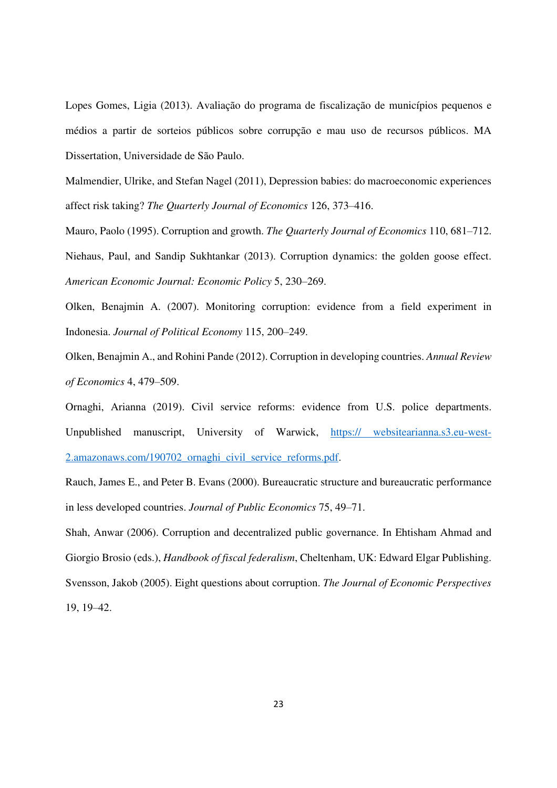Lopes Gomes, Ligia (2013). Avaliação do programa de fiscalização de municípios pequenos e médios a partir de sorteios públicos sobre corrupção e mau uso de recursos públicos. MA Dissertation, Universidade de São Paulo.

Malmendier, Ulrike, and Stefan Nagel (2011), Depression babies: do macroeconomic experiences affect risk taking? *The Quarterly Journal of Economics* 126, 373–416.

Mauro, Paolo (1995). Corruption and growth. *The Quarterly Journal of Economics* 110, 681–712. Niehaus, Paul, and Sandip Sukhtankar (2013). Corruption dynamics: the golden goose effect. *American Economic Journal: Economic Policy* 5, 230–269.

Olken, Benajmin A. (2007). Monitoring corruption: evidence from a field experiment in Indonesia. *Journal of Political Economy* 115, 200–249.

Olken, Benajmin A., and Rohini Pande (2012). Corruption in developing countries. *Annual Review of Economics* 4, 479–509.

Ornaghi, Arianna (2019). Civil service reforms: evidence from U.S. police departments. Unpublished manuscript, University of Warwick, https:// websitearianna.s3.eu-west-2.amazonaws.com/190702\_ornaghi\_civil\_service\_reforms.pdf.

Rauch, James E., and Peter B. Evans (2000). Bureaucratic structure and bureaucratic performance in less developed countries. *Journal of Public Economics* 75, 49–71.

Shah, Anwar (2006). Corruption and decentralized public governance. In Ehtisham Ahmad and Giorgio Brosio (eds.), *Handbook of fiscal federalism*, Cheltenham, UK: Edward Elgar Publishing. Svensson, Jakob (2005). Eight questions about corruption. *The Journal of Economic Perspectives* 19, 19–42.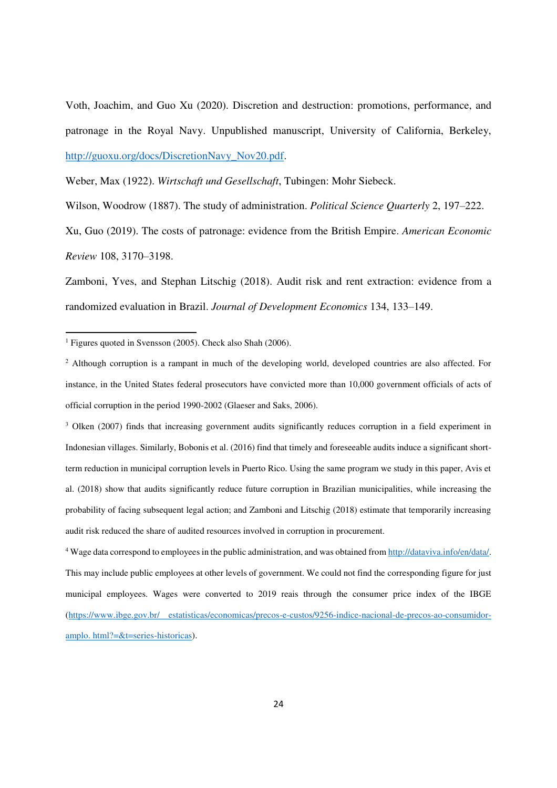Voth, Joachim, and Guo Xu (2020). Discretion and destruction: promotions, performance, and patronage in the Royal Navy. Unpublished manuscript, University of California, Berkeley, [http://guoxu.org/docs/DiscretionNavy\\_Nov20.pdf.](http://guoxu.org/docs/DiscretionNavy_Nov20.pdf)

Weber, Max (1922). *Wirtschaft und Gesellschaft*, Tubingen: Mohr Siebeck.

Wilson, Woodrow (1887). The study of administration. *Political Science Quarterly* 2, 197–222.

Xu, Guo (2019). The costs of patronage: evidence from the British Empire. *American Economic Review* 108, 3170–3198.

Zamboni, Yves, and Stephan Litschig (2018). Audit risk and rent extraction: evidence from a randomized evaluation in Brazil. *Journal of Development Economics* 134, 133–149.

<u>.</u>

<sup>3</sup> Olken (2007) finds that increasing government audits significantly reduces corruption in a field experiment in Indonesian villages. Similarly, Bobonis et al. (2016) find that timely and foreseeable audits induce a significant shortterm reduction in municipal corruption levels in Puerto Rico. Using the same program we study in this paper, Avis et al. (2018) show that audits significantly reduce future corruption in Brazilian municipalities, while increasing the probability of facing subsequent legal action; and Zamboni and Litschig (2018) estimate that temporarily increasing audit risk reduced the share of audited resources involved in corruption in procurement.

<sup>4</sup> Wage data correspond to employees in the public administration, and was obtained from [http://dataviva.info/en/data/.](http://dataviva.info/en/data/) This may include public employees at other levels of government. We could not find the corresponding figure for just municipal employees. Wages were converted to 2019 reais through the consumer price index of the IBGE [\(https://www.ibge.gov.br/ estatisticas/economicas/precos-e-custos/9256-indice-nacional-de-precos-ao-consumidor](https://www.ibge.gov.br/%20estatisticas/economicas/precos-e-custos/9256-indice-nacional-de-precos-ao-consumidor-amplo.%20html?=&t=series-historicas)[amplo. html?=&t=series-historicas\)](https://www.ibge.gov.br/%20estatisticas/economicas/precos-e-custos/9256-indice-nacional-de-precos-ao-consumidor-amplo.%20html?=&t=series-historicas).

<sup>&</sup>lt;sup>1</sup> Figures quoted in Svensson (2005). Check also Shah (2006).

<sup>&</sup>lt;sup>2</sup> Although corruption is a rampant in much of the developing world, developed countries are also affected. For instance, in the United States federal prosecutors have convicted more than 10,000 government officials of acts of official corruption in the period 1990-2002 (Glaeser and Saks, 2006).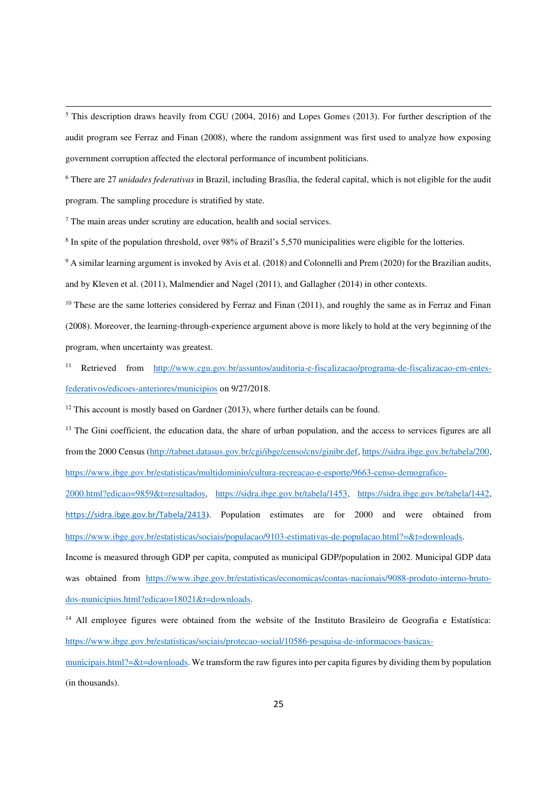<sup>5</sup> This description draws heavily from CGU (2004, 2016) and Lopes Gomes (2013). For further description of the audit program see Ferraz and Finan (2008), where the random assignment was first used to analyze how exposing government corruption affected the electoral performance of incumbent politicians.

6 There are 27 *unidades federativas* in Brazil, including Brasília, the federal capital, which is not eligible for the audit program. The sampling procedure is stratified by state.

<sup>7</sup> The main areas under scrutiny are education, health and social services.

.<br>-

<sup>8</sup> In spite of the population threshold, over 98% of Brazil's 5,570 municipalities were eligible for the lotteries.

<sup>9</sup> A similar learning argument is invoked by Avis et al. (2018) and Colonnelli and Prem (2020) for the Brazilian audits, and by Kleven et al. (2011), Malmendier and Nagel (2011), and Gallagher (2014) in other contexts.

 $10$  These are the same lotteries considered by Ferraz and Finan (2011), and roughly the same as in Ferraz and Finan (2008). Moreover, the learning-through-experience argument above is more likely to hold at the very beginning of the program, when uncertainty was greatest.

11 Retrieved from [http://www.cgu.gov.br/assuntos/auditoria-e-fiscalizacao/programa-de-fiscalizacao-em-entes](http://www.cgu.gov.br/assuntos/auditoria-e-fiscalizacao/programa-de-fiscalizacao-em-entes-federativos/edicoes-anteriores/municipios)[federativos/edicoes-anteriores/municipios o](http://www.cgu.gov.br/assuntos/auditoria-e-fiscalizacao/programa-de-fiscalizacao-em-entes-federativos/edicoes-anteriores/municipios)n 9/27/2018.

 $12$  This account is mostly based on Gardner (2013), where further details can be found.

 $<sup>13</sup>$  The Gini coefficient, the education data, the share of urban population, and the access to services figures are all</sup> from the 2000 Census [\(http://tabnet.datasus.gov.br/cgi/ibge/censo/cnv/ginibr.def,](http://tabnet.datasus.gov.br/cgi/ibge/censo/cnv/ginibr.def) [https://sidra.ibge.gov.br/tabela/200,](https://sidra.ibge.gov.br/tabela/200) [https://www.ibge.gov.br/estatisticas/multidominio/cultura-recreacao-e-esporte/9663-censo-demografico-](https://www.ibge.gov.br/estatisticas/multidominio/cultura-recreacao-e-esporte/9663-censo-demografico-2000.html?edicao=9859&t=resultados)

[2000.html?edicao=9859&t=resultados,](https://www.ibge.gov.br/estatisticas/multidominio/cultura-recreacao-e-esporte/9663-censo-demografico-2000.html?edicao=9859&t=resultados) [https://sidra.ibge.gov.br/tabela/1453,](https://sidra.ibge.gov.br/tabela/1453) [https://sidra.ibge.gov.br/tabela/1442,](https://sidra.ibge.gov.br/tabela/1442) <https://sidra.ibge.gov.br/Tabela/2413>). Population estimates are for 2000 and were obtained from https://www.ibge.gov.br/estatisticas/sociais/populacao/9103-estimativas-de-populacao.html?=&t=downloads.

Income is measured through GDP per capita, computed as municipal GDP/population in 2002. Municipal GDP data was obtained from [https://www.ibge.gov.br/estatisticas/economicas/contas-nacionais/9088-produto-interno-bruto](https://www.ibge.gov.br/estatisticas/economicas/contas-nacionais/9088-produto-interno-bruto-dos-municipios.html?edicao=18021&t=downloads)[dos-municipios.html?edicao=18021&t=downloads.](https://www.ibge.gov.br/estatisticas/economicas/contas-nacionais/9088-produto-interno-bruto-dos-municipios.html?edicao=18021&t=downloads)

<sup>14</sup> All employee figures were obtained from the website of the Instituto Brasileiro de Geografia e Estatística: [https://www.ibge.gov.br/estatisticas/sociais/protecao-social/10586-pesquisa-de-informacoes-basicas-](https://www.ibge.gov.br/estatisticas/sociais/protecao-social/10586-pesquisa-de-informacoes-basicas-municipais.html?=&t=downloads)

municipais.html?= $&t$ =downloads. We transform the raw figures into per capita figures by dividing them by population (in thousands).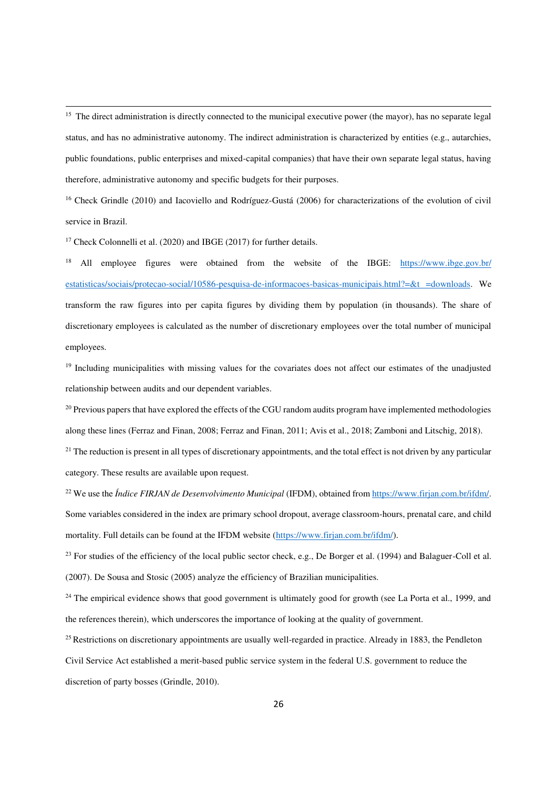<sup>15</sup> The direct administration is directly connected to the municipal executive power (the mayor), has no separate legal status, and has no administrative autonomy. The indirect administration is characterized by entities (e.g., autarchies, public foundations, public enterprises and mixed-capital companies) that have their own separate legal status, having therefore, administrative autonomy and specific budgets for their purposes.

<sup>16</sup> Check Grindle (2010) and Iacoviello and Rodríguez-Gustá (2006) for characterizations of the evolution of civil service in Brazil.

<sup>17</sup> Check Colonnelli et al. (2020) and IBGE (2017) for further details.

.<br>-

<sup>18</sup> All employee figures were obtained from the website of the IBGE: [https://www.ibge.gov.br/](https://www.ibge.gov.br/%20estatisticas/sociais/protecao-social/10586-pesquisa-de-informacoes-basicas-municipais.html?=&t%20=downloads)  [estatisticas/sociais/protecao-social/10586-pesquisa-de-informacoes-basicas-municipais.html?=&t =downloads.](https://www.ibge.gov.br/%20estatisticas/sociais/protecao-social/10586-pesquisa-de-informacoes-basicas-municipais.html?=&t%20=downloads) We transform the raw figures into per capita figures by dividing them by population (in thousands). The share of discretionary employees is calculated as the number of discretionary employees over the total number of municipal employees.

<sup>19</sup> Including municipalities with missing values for the covariates does not affect our estimates of the unadjusted relationship between audits and our dependent variables.

 $^{20}$  Previous papers that have explored the effects of the CGU random audits program have implemented methodologies along these lines (Ferraz and Finan, 2008; Ferraz and Finan, 2011; Avis et al., 2018; Zamboni and Litschig, 2018).

 $21$  The reduction is present in all types of discretionary appointments, and the total effect is not driven by any particular category. These results are available upon request.

<sup>22</sup> We use the *Índice FIRJAN de Desenvolvimento Municipal* (IFDM), obtained fro[m https://www.firjan.com.br/ifdm/.](https://www.firjan.com.br/ifdm/) Some variables considered in the index are primary school dropout, average classroom-hours, prenatal care, and child mortality. Full details can be found at the IFDM website [\(https://www.firjan.com.br/ifdm/\)](https://www.firjan.com.br/ifdm/).

 $23$  For studies of the efficiency of the local public sector check, e.g., De Borger et al. (1994) and Balaguer-Coll et al. (2007). De Sousa and Stosic (2005) analyze the efficiency of Brazilian municipalities.

<sup>24</sup> The empirical evidence shows that good government is ultimately good for growth (see La Porta et al., 1999, and the references therein), which underscores the importance of looking at the quality of government.

<sup>25</sup> Restrictions on discretionary appointments are usually well-regarded in practice. Already in 1883, the Pendleton Civil Service Act established a merit-based public service system in the federal U.S. government to reduce the discretion of party bosses (Grindle, 2010).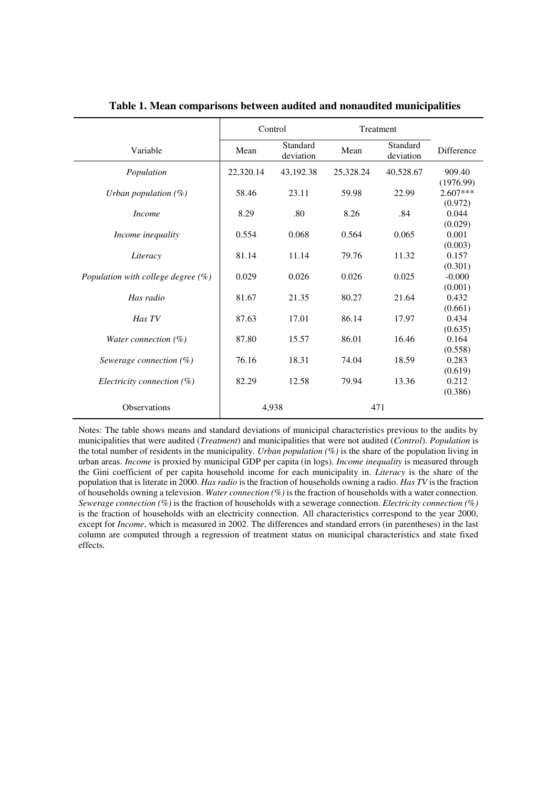|                                       | Control   |                       | Treatment |                       |                                    |
|---------------------------------------|-----------|-----------------------|-----------|-----------------------|------------------------------------|
| Variable                              | Mean      | Standard<br>deviation | Mean      | Standard<br>deviation | <b>Difference</b>                  |
| Population                            | 22,320.14 | 43,192.38             | 25,328.24 | 40,528.67             | 909.40                             |
| Urban population $(\%)$               | 58.46     | 23.11                 | 59.98     | 22.99                 | (1976.99)<br>$2.607***$<br>(0.972) |
| <i>Income</i>                         | 8.29      | .80                   | 8.26      | .84                   | 0.044                              |
|                                       |           |                       |           |                       | (0.029)                            |
| Income inequality                     | 0.554     | 0.068                 | 0.564     | 0.065                 | 0.001                              |
| Literacy                              | 81.14     | 11.14                 | 79.76     | 11.32                 | (0.003)<br>0.157                   |
| Population with college degree $(\%)$ | 0.029     | 0.026                 | 0.026     | 0.025                 | (0.301)<br>$-0.000$                |
| Has radio                             | 81.67     | 21.35                 | 80.27     | 21.64                 | (0.001)<br>0.432                   |
| Has TV                                | 87.63     | 17.01                 | 86.14     | 17.97                 | (0.661)<br>0.434                   |
| Water connection $(\%)$               | 87.80     | 15.57                 | 86.01     | 16.46                 | (0.635)<br>0.164                   |
| Sewerage connection $(\%)$            | 76.16     | 18.31                 | 74.04     | 18.59                 | (0.558)<br>0.283                   |
| Electricity connection $(\%)$         | 82.29     | 12.58                 | 79.94     | 13.36                 | (0.619)<br>0.212<br>(0.386)        |
| <b>Observations</b>                   |           | 4.938                 |           | 471                   |                                    |

**Table 1. Mean comparisons between audited and nonaudited municipalities** 

Notes: The table shows means and standard deviations of municipal characteristics previous to the audits by municipalities that were audited (*Treatment*) and municipalities that were not audited (*Control*). *Population* is the total number of residents in the municipality. *Urban population (%)* is the share of the population living in urban areas. *Income* is proxied by municipal GDP per capita (in logs). *Income inequality* is measured through the Gini coefficient of per capita household income for each municipality in. *Literacy* is the share of the population that is literate in 2000. *Has radio* is the fraction of households owning a radio. *Has TV* is the fraction of households owning a television. *Water connection (%)* is the fraction of households with a water connection. *Sewerage connection (%)* is the fraction of households with a sewerage connection. *Electricity connection (%)*  is the fraction of households with an electricity connection. All characteristics correspond to the year 2000, except for *Income*, which is measured in 2002. The differences and standard errors (in parentheses) in the last column are computed through a regression of treatment status on municipal characteristics and state fixed effects.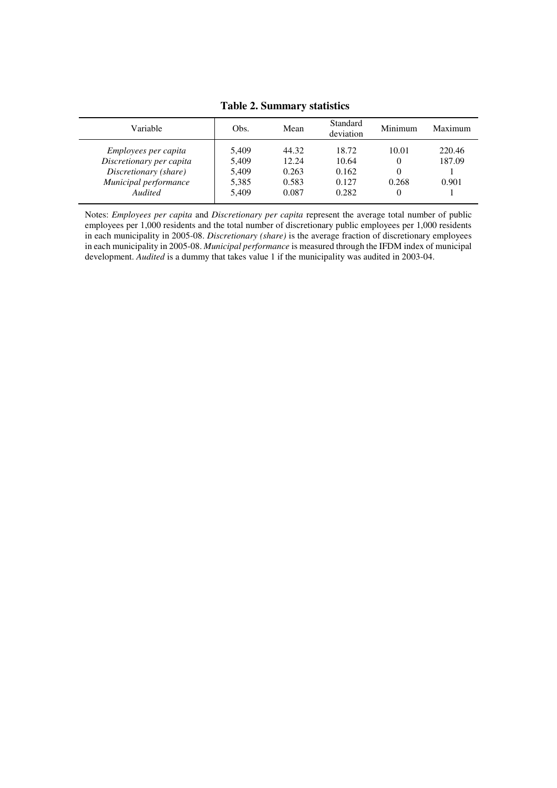# **Table 2. Summary statistics**

| Variable                 | Obs.  | Mean  | Standard<br>deviation | Minimum  | Maximum |
|--------------------------|-------|-------|-----------------------|----------|---------|
| Employees per capita     | 5.409 | 44.32 | 18.72                 | 10.01    | 220.46  |
| Discretionary per capita | 5,409 | 12.24 | 10.64                 | $\theta$ | 187.09  |
| Discretionary (share)    | 5,409 | 0.263 | 0.162                 | 0        |         |
| Municipal performance    | 5,385 | 0.583 | 0.127                 | 0.268    | 0.901   |
| Audited                  | 5.409 | 0.087 | 0.282                 | $\Omega$ |         |

Notes: *Employees per capita* and *Discretionary per capita* represent the average total number of public employees per 1,000 residents and the total number of discretionary public employees per 1,000 residents in each municipality in 2005-08. *Discretionary (share)* is the average fraction of discretionary employees in each municipality in 2005-08. *Municipal performance* is measured through the IFDM index of municipal development. *Audited* is a dummy that takes value 1 if the municipality was audited in 2003-04.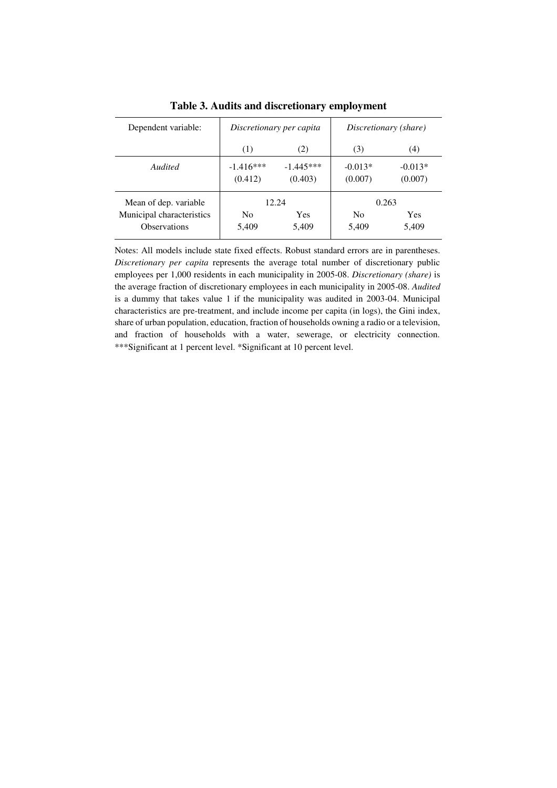| Dependent variable:                              |                         | Discretionary per capita | Discretionary (share)   |                      |  |
|--------------------------------------------------|-------------------------|--------------------------|-------------------------|----------------------|--|
|                                                  | (1)                     | (2)                      | (3)                     | (4)                  |  |
| Audited                                          | $-1.416***$<br>(0.412)  | $-1.445***$<br>(0.403)   | $-0.013*$<br>(0.007)    | $-0.013*$<br>(0.007) |  |
| Mean of dep. variable                            | 12.24                   |                          |                         | 0.263                |  |
| Municipal characteristics<br><b>Observations</b> | N <sub>0</sub><br>5,409 | Yes<br>5,409             | N <sub>0</sub><br>5,409 | <b>Yes</b><br>5,409  |  |

**Table 3. Audits and discretionary employment** 

Notes: All models include state fixed effects. Robust standard errors are in parentheses. *Discretionary per capita* represents the average total number of discretionary public employees per 1,000 residents in each municipality in 2005-08. *Discretionary (share)* is the average fraction of discretionary employees in each municipality in 2005-08. *Audited* is a dummy that takes value 1 if the municipality was audited in 2003-04. Municipal characteristics are pre-treatment, and include income per capita (in logs), the Gini index, share of urban population, education, fraction of households owning a radio or a television, and fraction of households with a water, sewerage, or electricity connection. \*\*\*Significant at 1 percent level. \*Significant at 10 percent level.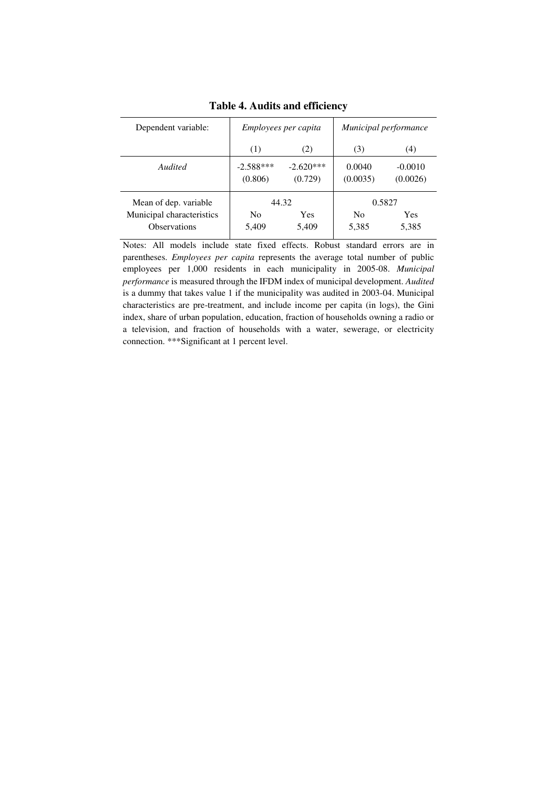| Dependent variable:                                                       |                         | Employees per capita   | Municipal performance   |                               |  |
|---------------------------------------------------------------------------|-------------------------|------------------------|-------------------------|-------------------------------|--|
|                                                                           | (1)                     | (2)                    | (3)                     | (4)                           |  |
| <b>Audited</b>                                                            | $-2.588***$<br>(0.806)  | $-2.620***$<br>(0.729) | 0.0040<br>(0.0035)      | $-0.0010$<br>(0.0026)         |  |
| Mean of dep. variable<br>Municipal characteristics<br><b>Observations</b> | N <sub>0</sub><br>5,409 | 44.32<br>Yes<br>5,409  | N <sub>0</sub><br>5,385 | 0.5827<br><b>Yes</b><br>5,385 |  |

**Table 4. Audits and efficiency** 

Notes: All models include state fixed effects. Robust standard errors are in parentheses. *Employees per capita* represents the average total number of public employees per 1,000 residents in each municipality in 2005-08. *Municipal performance* is measured through the IFDM index of municipal development. *Audited* is a dummy that takes value 1 if the municipality was audited in 2003-04. Municipal characteristics are pre-treatment, and include income per capita (in logs), the Gini index, share of urban population, education, fraction of households owning a radio or a television, and fraction of households with a water, sewerage, or electricity connection. \*\*\*Significant at 1 percent level.